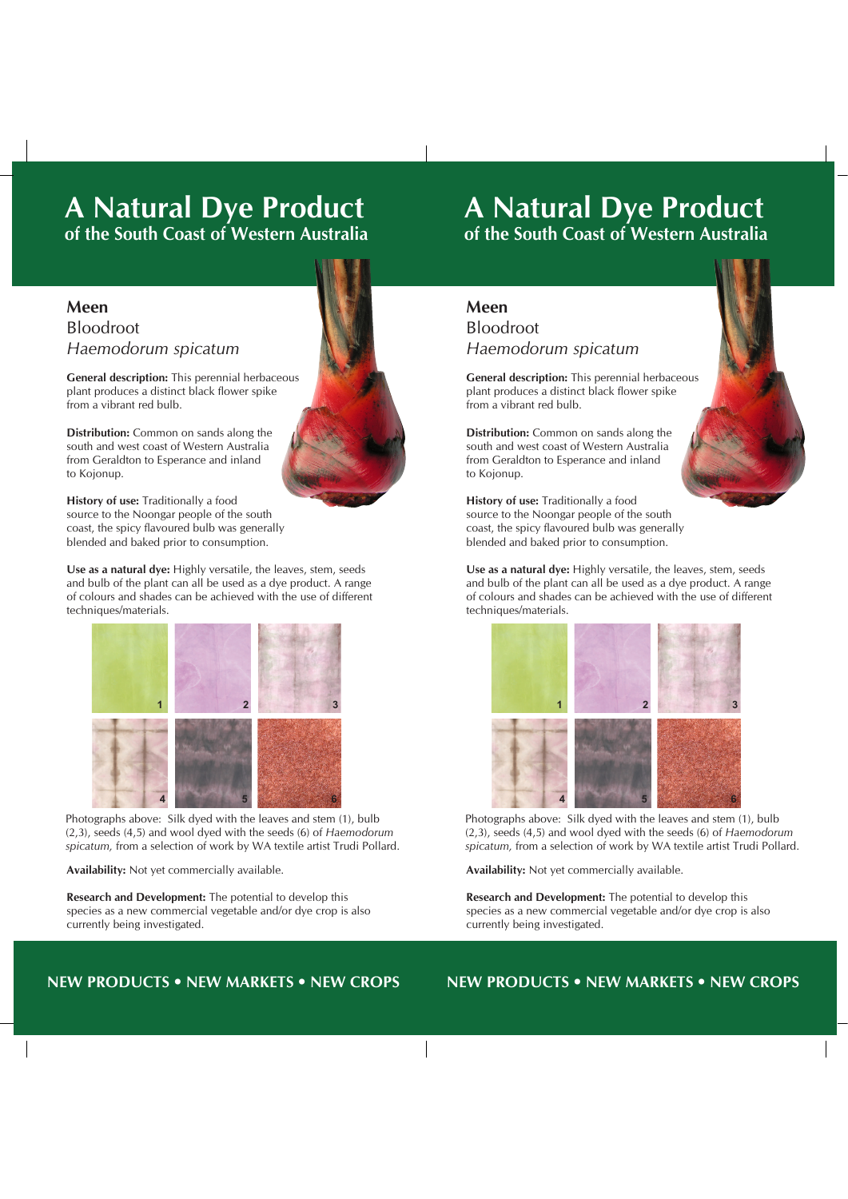## **A Natural Dye Product of the South Coast of Western Australia**

## **Meen** Bloodroot *Haemodorum spicatum* **Meen of the South Coast of Western Australia and Western Australia and Western Australia and Western Australia Bloodroot Bloodroot of the South Coast of Western Australia and South Coast of Western Australia and South Coast of Western Australia Meen**

**A Natural Dye Product**

**A Natural Dye Product**

**General description:** This perennial herbaceous plant produces a distinct black flower spike **of the South Coast of Western Australia**<br>**from a vibrant red bulb General description** description of the series and produces a distinct black flower produces a distinct black flower produces a distinct black flower produces a distinct black flower produces a distinct black flower produ plant produ<br>from a vibr

> **Distribution:** Common on sands along the south and west coast of Western Australia from Geraldton to Esperance and inland to Kojonup. from Kojonup. The Geraldton to Esperance and in the Contract of the Contract of the Contract of the Contract of the Contract of the Contract of the Contract of the Contract of the Contract of the Contract of the Contract o from Kojonup. The Geraldton to Kojonup. **Handbook** and mand

**History of use:** Traditionally a food source to the Noongar people of the south source to the Noongar people of the south<br>coast, the spicy flavoured bulb was generally blended and baked prior to consumption. **General description** description of the person of the person of the person of the person of the person of the person of the person of the person of the person of the person of the person of the person of the person of the

Use as a natural dye: Highly versatile, the leaves, stem, seeds and bulb of the plant can all be used as a dye product. A range of colours and shades can be achieved with the use of different of colours and shades can be demonstrated that the dis-<br>techniques/materials. **from Gerald Cone and in History of use of the Noongar people of the south coast, the south coast, the south coast, the south coast, the south coast, the south coast, the south coast, the south coast, the south coast, the south coast, the south c** 



Photographs above: Silk dyed with the leaves and stem (1), bulb (2,3), seeds (4,5) and wool dyed with the seeds (6) of *Haemodorum spicatum,* from a selection of work by WA textile artist Trudi Pollard.

**Availability:** Not yet commercially available.

**Research and Development:** The potential to develop this species as a new commercial vegetable and/or dye crop is also currently being investigated.

## all be used as a dye product. Applying various techniques and use of different materials a range of colours and shades can be achieved.

## **NEW PRODUCTS • NEW MARKETS • NEW CROPS NEW PRODUCTS • NEW MARKETS • NEW CROPS**